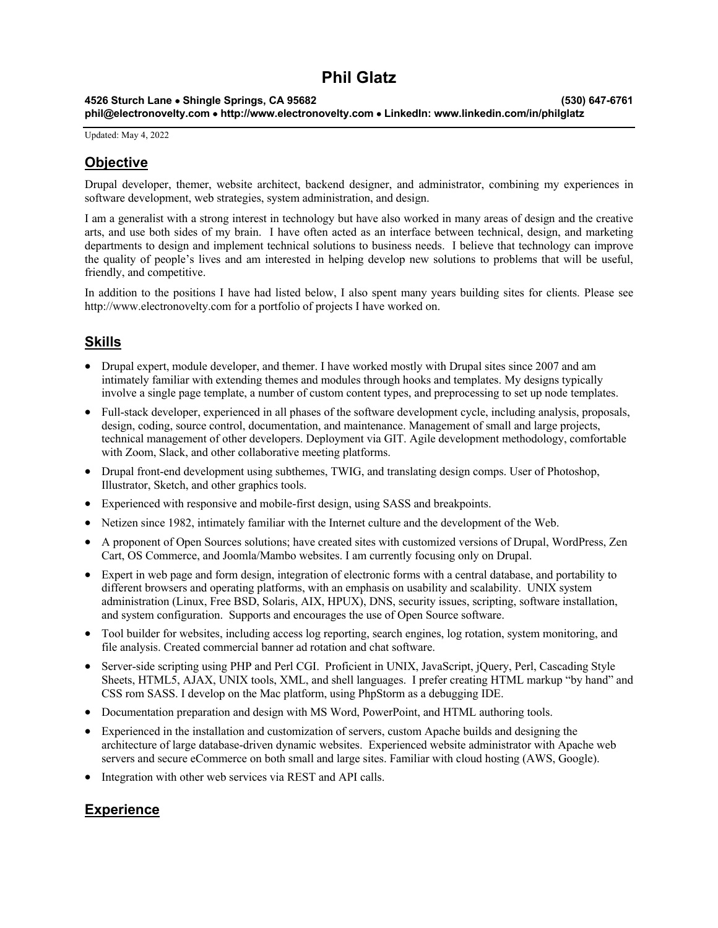# **Phil Glatz**

# **4526 Sturch Lane** • **Shingle Springs, CA 95682 (530) 647-6761**

**phil@electronovelty.com** • **http://www.electronovelty.com** • **LinkedIn: www.linkedin.com/in/philglatz**

Updated: May 4, 2022

# **Objective**

Drupal developer, themer, website architect, backend designer, and administrator, combining my experiences in software development, web strategies, system administration, and design.

I am a generalist with a strong interest in technology but have also worked in many areas of design and the creative arts, and use both sides of my brain. I have often acted as an interface between technical, design, and marketing departments to design and implement technical solutions to business needs. I believe that technology can improve the quality of people's lives and am interested in helping develop new solutions to problems that will be useful, friendly, and competitive.

In addition to the positions I have had listed below, I also spent many years building sites for clients. Please see http://www.electronovelty.com for a portfolio of projects I have worked on.

## **Skills**

- Drupal expert, module developer, and themer. I have worked mostly with Drupal sites since 2007 and am intimately familiar with extending themes and modules through hooks and templates. My designs typically involve a single page template, a number of custom content types, and preprocessing to set up node templates.
- Full-stack developer, experienced in all phases of the software development cycle, including analysis, proposals, design, coding, source control, documentation, and maintenance. Management of small and large projects, technical management of other developers. Deployment via GIT. Agile development methodology, comfortable with Zoom, Slack, and other collaborative meeting platforms.
- Drupal front-end development using subthemes, TWIG, and translating design comps. User of Photoshop, Illustrator, Sketch, and other graphics tools.
- Experienced with responsive and mobile-first design, using SASS and breakpoints.
- Netizen since 1982, intimately familiar with the Internet culture and the development of the Web.
- A proponent of Open Sources solutions; have created sites with customized versions of Drupal, WordPress, Zen Cart, OS Commerce, and Joomla/Mambo websites. I am currently focusing only on Drupal.
- Expert in web page and form design, integration of electronic forms with a central database, and portability to different browsers and operating platforms, with an emphasis on usability and scalability. UNIX system administration (Linux, Free BSD, Solaris, AIX, HPUX), DNS, security issues, scripting, software installation, and system configuration. Supports and encourages the use of Open Source software.
- Tool builder for websites, including access log reporting, search engines, log rotation, system monitoring, and file analysis. Created commercial banner ad rotation and chat software.
- Server-side scripting using PHP and Perl CGI. Proficient in UNIX, JavaScript, jQuery, Perl, Cascading Style Sheets, HTML5, AJAX, UNIX tools, XML, and shell languages. I prefer creating HTML markup "by hand" and CSS rom SASS. I develop on the Mac platform, using PhpStorm as a debugging IDE.
- Documentation preparation and design with MS Word, PowerPoint, and HTML authoring tools.
- Experienced in the installation and customization of servers, custom Apache builds and designing the architecture of large database-driven dynamic websites. Experienced website administrator with Apache web servers and secure eCommerce on both small and large sites. Familiar with cloud hosting (AWS, Google).
- Integration with other web services via REST and API calls.

## **Experience**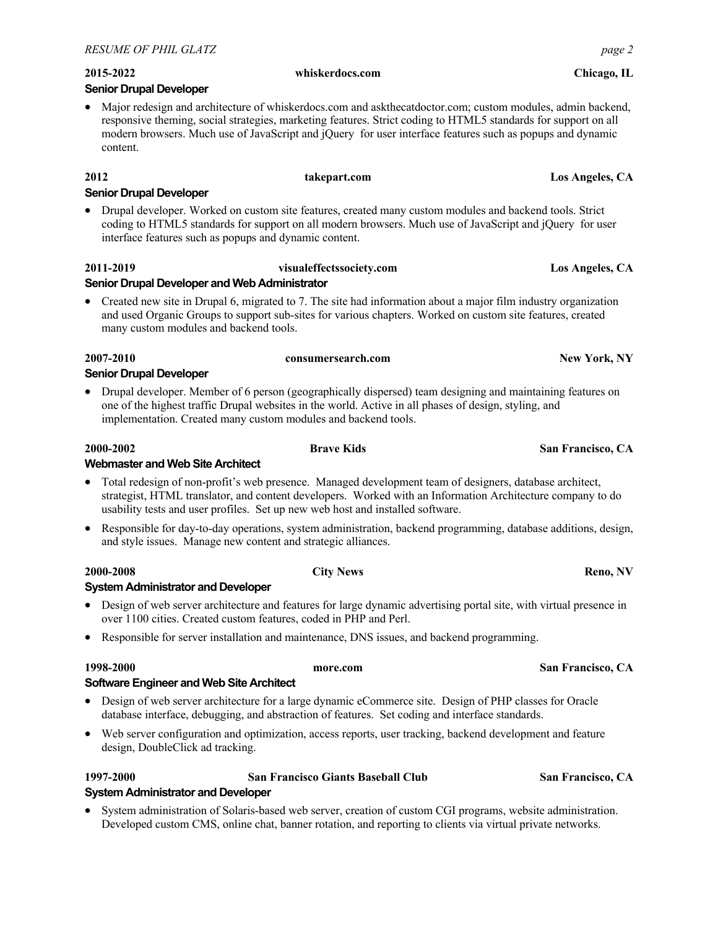## **2015-2022 whiskerdocs.com Chicago, IL**

## **Senior Drupal Developer**

• Major redesign and architecture of whiskerdocs.com and askthecatdoctor.com; custom modules, admin backend, responsive theming, social strategies, marketing features. Strict coding to HTML5 standards for support on all modern browsers. Much use of JavaScript and jQuery for user interface features such as popups and dynamic content.

## **2012 takepart.com Los Angeles, CA**

## **Senior Drupal Developer**

• Drupal developer. Worked on custom site features, created many custom modules and backend tools. Strict coding to HTML5 standards for support on all modern browsers. Much use of JavaScript and jQuery for user interface features such as popups and dynamic content.

## **2011-2019 visualeffectssociety.com Los Angeles, CA Senior Drupal Developer and Web Administrator**

• Created new site in Drupal 6, migrated to 7. The site had information about a major film industry organization and used Organic Groups to support sub-sites for various chapters. Worked on custom site features, created many custom modules and backend tools.

## **2007-2010 consumersearch.com New York, NY**

## **Senior Drupal Developer**

• Drupal developer. Member of 6 person (geographically dispersed) team designing and maintaining features on one of the highest traffic Drupal websites in the world. Active in all phases of design, styling, and implementation. Created many custom modules and backend tools.

## **Webmaster and Web Site Architect**

- Total redesign of non-profit's web presence. Managed development team of designers, database architect, strategist, HTML translator, and content developers. Worked with an Information Architecture company to do usability tests and user profiles. Set up new web host and installed software.
- Responsible for day-to-day operations, system administration, backend programming, database additions, design, and style issues. Manage new content and strategic alliances.

## **2000-2008 City News Reno, NV**

## **System Administrator and Developer**

- Design of web server architecture and features for large dynamic advertising portal site, with virtual presence in over 1100 cities. Created custom features, coded in PHP and Perl.
- Responsible for server installation and maintenance, DNS issues, and backend programming.

## **1998-2000 more.com San Francisco, CA**

## **Software Engineer and Web Site Architect**

- Design of web server architecture for a large dynamic eCommerce site. Design of PHP classes for Oracle database interface, debugging, and abstraction of features. Set coding and interface standards.
- Web server configuration and optimization, access reports, user tracking, backend development and feature design, DoubleClick ad tracking.

## **1997-2000 San Francisco Giants Baseball Club San Francisco, CA**

## **System Administrator and Developer**

• System administration of Solaris-based web server, creation of custom CGI programs, website administration. Developed custom CMS, online chat, banner rotation, and reporting to clients via virtual private networks.

### **2000-2002 Brave Kids San Francisco, CA**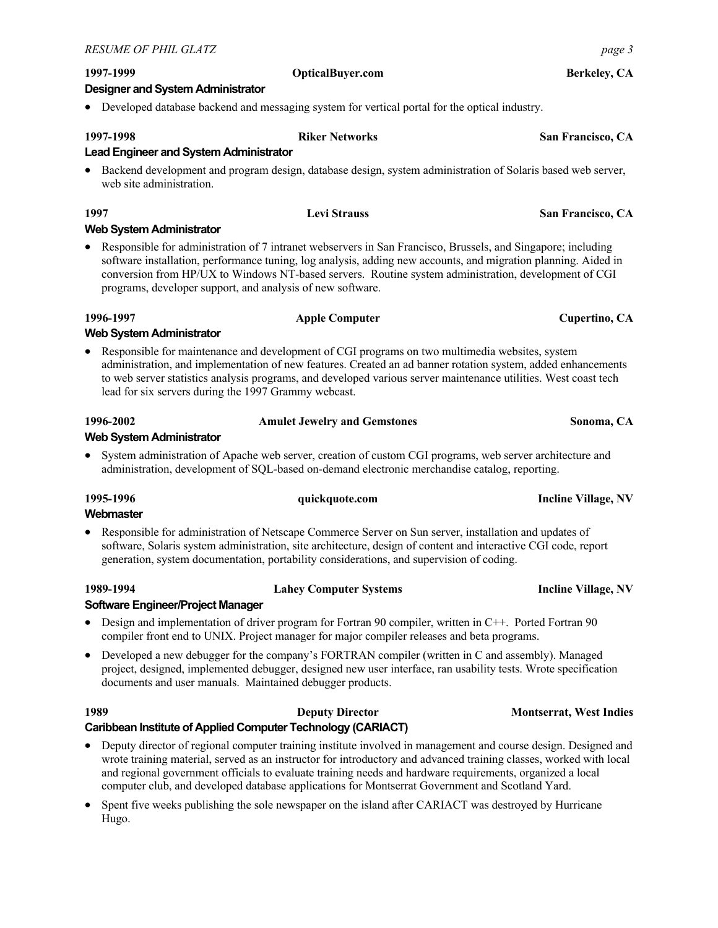# **1996-1997 Apple Computer Cupertino, CA**

| 1996-2002 |                                                                                                                                                                                                             | <b>Amulet Jewelry and Gemstones</b> | Sonoma, CA |  |  |  |  |
|-----------|-------------------------------------------------------------------------------------------------------------------------------------------------------------------------------------------------------------|-------------------------------------|------------|--|--|--|--|
|           | Web System Administrator                                                                                                                                                                                    |                                     |            |  |  |  |  |
|           | • System administration of Apache web server, creation of custom CGI programs, web server architecture and<br>administration, development of SQL-based on-demand electronic merchandise catalog, reporting. |                                     |            |  |  |  |  |

# **1995-1996 quickquote.com Incline Village, NV Webmaster**

• Responsible for administration of Netscape Commerce Server on Sun server, installation and updates of software, Solaris system administration, site architecture, design of content and interactive CGI code, report generation, system documentation, portability considerations, and supervision of coding.

## **Software Engineer/Project Manager**

- Design and implementation of driver program for Fortran 90 compiler, written in C++. Ported Fortran 90 compiler front end to UNIX. Project manager for major compiler releases and beta programs.
- Developed a new debugger for the company's FORTRAN compiler (written in C and assembly). Managed project, designed, implemented debugger, designed new user interface, ran usability tests. Wrote specification documents and user manuals. Maintained debugger products.

## **1989 Deputy Director Montserrat, West Indies Caribbean Institute of Applied Computer Technology (CARIACT)**

- Deputy director of regional computer training institute involved in management and course design. Designed and wrote training material, served as an instructor for introductory and advanced training classes, worked with local and regional government officials to evaluate training needs and hardware requirements, organized a local computer club, and developed database applications for Montserrat Government and Scotland Yard.
- Spent five weeks publishing the sole newspaper on the island after CARIACT was destroyed by Hurricane Hugo.

## • Developed database backend and messaging system for vertical portal for the optical industry.

## **Lead Engineer and System Administrator**

• Backend development and program design, database design, system administration of Solaris based web server, web site administration.

## **Web System Administrator**

- Responsible for administration of 7 intranet webservers in San Francisco, Brussels, and Singapore; including software installation, performance tuning, log analysis, adding new accounts, and migration planning. Aided in conversion from HP/UX to Windows NT-based servers. Routine system administration, development of CGI programs, developer support, and analysis of new software.
- **Web System Administrator**
- Responsible for maintenance and development of CGI programs on two multimedia websites, system administration, and implementation of new features. Created an ad banner rotation system, added enhancements to web server statistics analysis programs, and developed various server maintenance utilities. West coast tech lead for six servers during the 1997 Grammy webcast.

## **1989-1994 Lahey Computer Systems Incline Village, NV**

**Designer and System Administrator**

## **1997-1999 OpticalBuyer.com Berkeley, CA**

**1997 Levi Strauss San Francisco, CA**